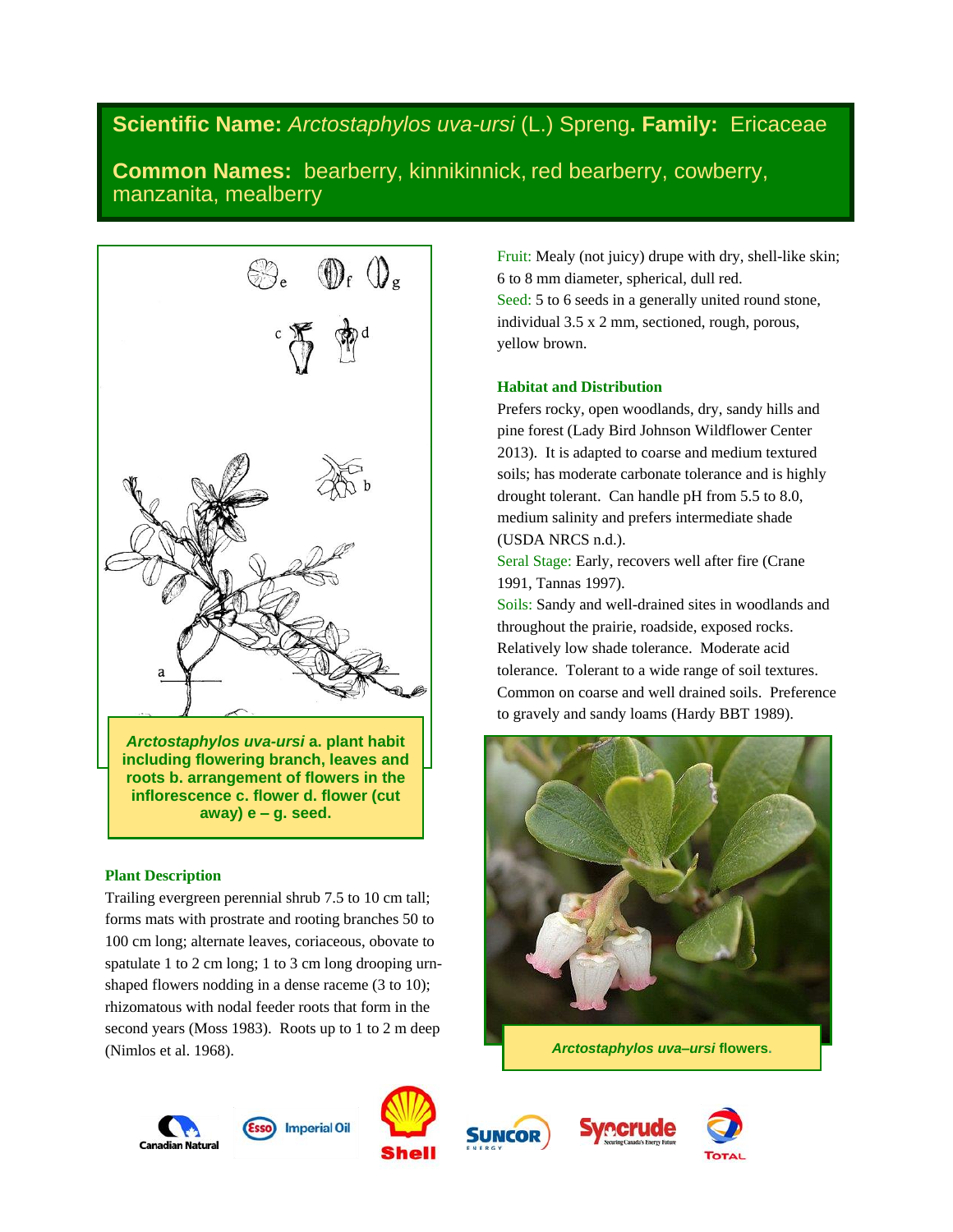# **Scientific Name:** *Arctostaphylos uva-ursi* (L.) Spreng**. Family:** Ericaceae

**Common Names:** bearberry, kinnikinnick, red bearberry, cowberry, manzanita, mealberry



# **Plant Description**

Trailing evergreen perennial shrub 7.5 to 10 cm tall; forms mats with prostrate and rooting branches 50 to 100 cm long; alternate leaves, coriaceous, obovate to spatulate 1 to 2 cm long; 1 to 3 cm long drooping urnshaped flowers nodding in a dense raceme (3 to 10); rhizomatous with nodal feeder roots that form in the second years (Moss 1983). Roots up to 1 to 2 m deep (Nimlos et al. 1968).

Fruit: Mealy (not juicy) drupe with dry, shell-like skin; 6 to 8 mm diameter, spherical, dull red. Seed: 5 to 6 seeds in a generally united round stone, individual 3.5 x 2 mm, sectioned, rough, porous, yellow brown.

# **Habitat and Distribution**

Prefers rocky, open woodlands, dry, sandy hills and pine forest (Lady Bird Johnson Wildflower Center 2013). It is adapted to coarse and medium textured soils; has moderate carbonate tolerance and is highly drought tolerant. Can handle pH from 5.5 to 8.0, medium salinity and prefers intermediate shade (USDA NRCS n.d.).

Seral Stage: Early, recovers well after fire (Crane 1991, Tannas 1997).

Soils: Sandy and well-drained sites in woodlands and throughout the prairie, roadside, exposed rocks. Relatively low shade tolerance. Moderate acid tolerance. Tolerant to a wide range of soil textures. Common on coarse and well drained soils. Preference to gravely and sandy loams (Hardy BBT 1989).



*Arctostaphylos uva–ursi* **flowers.**











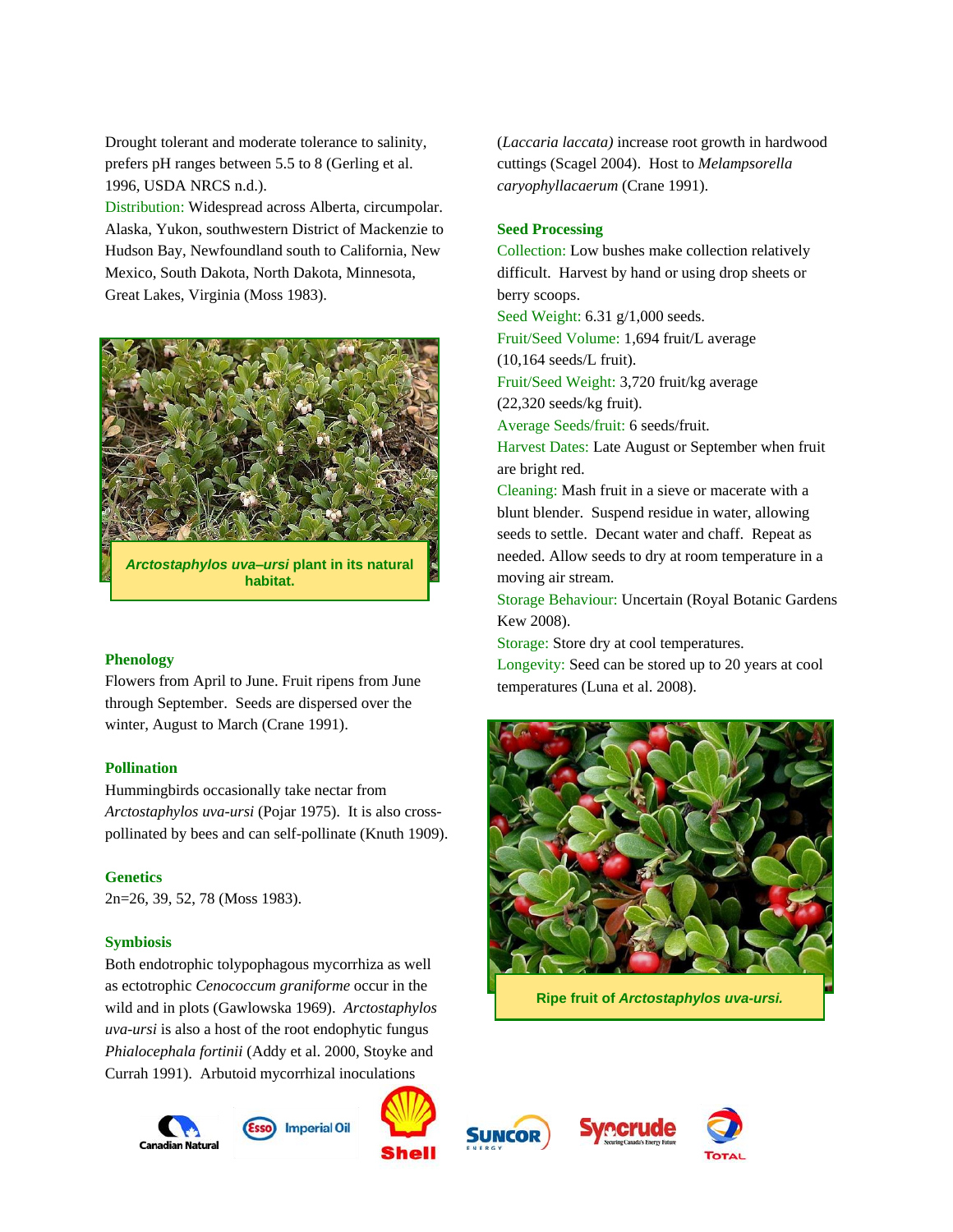Drought tolerant and moderate tolerance to salinity, prefers pH ranges between 5.5 to 8 (Gerling et al. 1996, USDA NRCS n.d.).

Distribution: Widespread across Alberta, circumpolar. Alaska, Yukon, southwestern District of Mackenzie to Hudson Bay, Newfoundland south to California, New Mexico, South Dakota, North Dakota, Minnesota, Great Lakes, Virginia (Moss 1983).



*Arctostaphylos uva–ursi* **plant in its natural habitat.**

#### **Phenology**

Flowers from April to June. Fruit ripens from June through September. Seeds are dispersed over the winter, August to March (Crane 1991).

### **Pollination**

Hummingbirds occasionally take nectar from *Arctostaphylos uva-ursi* (Pojar 1975). It is also crosspollinated by bees and can self-pollinate (Knuth 1909).

#### **Genetics**

2n=26, 39, 52, 78 (Moss 1983).

#### **Symbiosis**

Both endotrophic tolypophagous mycorrhiza as well as ectotrophic *Cenococcum graniforme* occur in the wild and in plots (Gawlowska 1969). *Arctostaphylos uva-ursi* is also a host of the root endophytic fungus *Phialocephala fortinii* (Addy et al. 2000, Stoyke and Currah 1991). Arbutoid mycorrhizal inoculations

**Canadian Natura** 







(*Laccaria laccata)* increase root growth in hardwood cuttings (Scagel 2004). Host to *Melampsorella caryophyllacaerum* (Crane 1991).

#### **Seed Processing**

Collection: Low bushes make collection relatively difficult. Harvest by hand or using drop sheets or berry scoops.

Seed Weight: 6.31 g/1,000 seeds.

Fruit/Seed Volume: 1,694 fruit/L average

(10,164 seeds/L fruit).

Fruit/Seed Weight: 3,720 fruit/kg average (22,320 seeds/kg fruit).

Average Seeds/fruit: 6 seeds/fruit.

Harvest Dates: Late August or September when fruit are bright red.

Cleaning: Mash fruit in a sieve or macerate with a blunt blender. Suspend residue in water, allowing seeds to settle. Decant water and chaff. Repeat as needed. Allow seeds to dry at room temperature in a moving air stream.

Storage Behaviour: Uncertain (Royal Botanic Gardens Kew 2008).

Storage: Store dry at cool temperatures.

Longevity: Seed can be stored up to 20 years at cool temperatures (Luna et al. 2008).



**Ripe fruit of** *Arctostaphylos uva-ursi.*



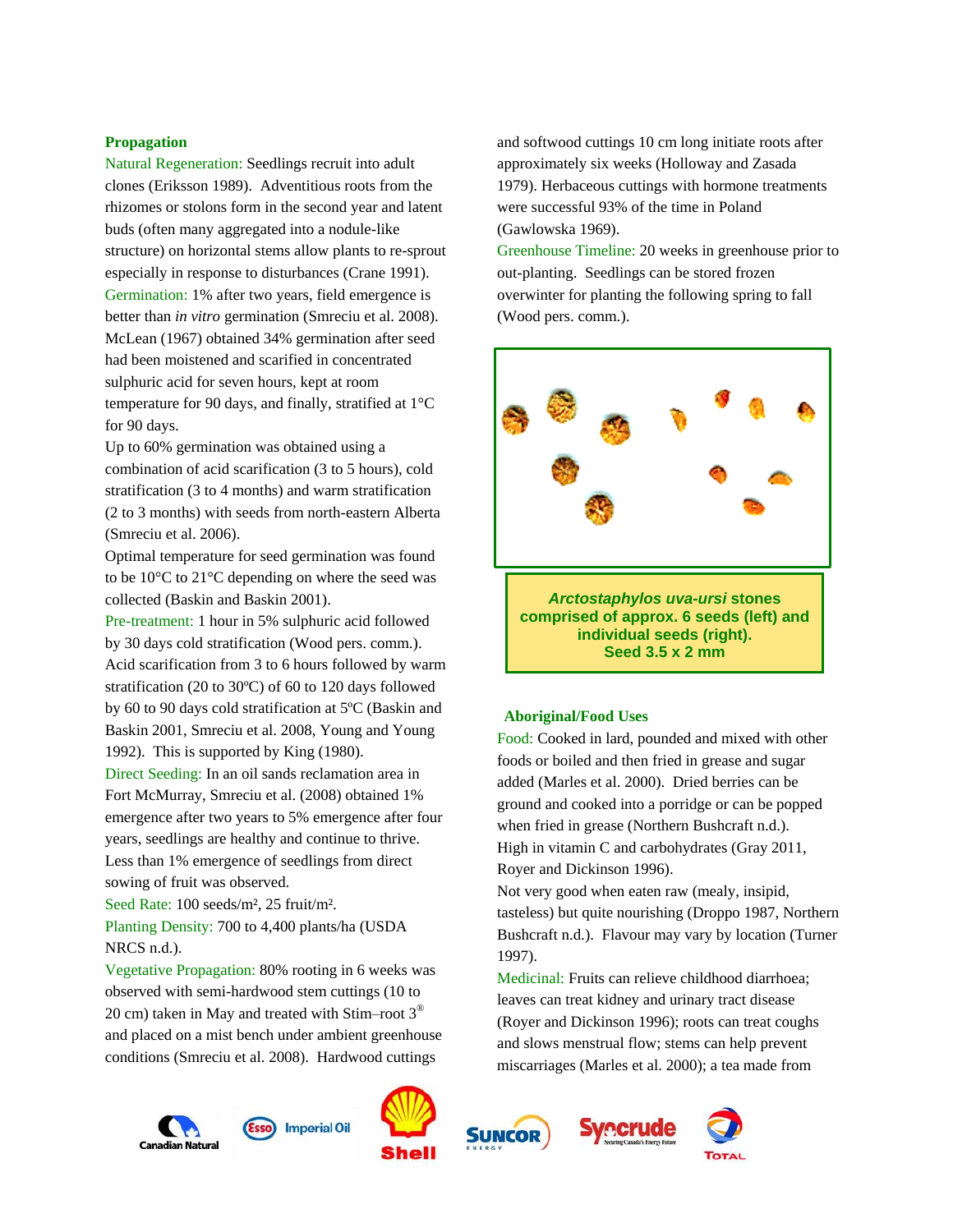#### **Propagation**

Natural Regeneration: Seedlings recruit into adult clones (Eriksson 1989). Adventitious roots from the rhizomes or stolons form in the second year and latent buds (often many aggregated into a nodule-like structure) on horizontal stems allow plants to re-sprout especially in response to disturbances (Crane 1991). Germination: 1% after two years, field emergence is better than *in vitro* germination (Smreciu et al. 2008). McLean (1967) obtained 34% germination after seed had been moistened and scarified in concentrated sulphuric acid for seven hours, kept at room temperature for 90 days, and finally, stratified at 1°C for 90 days.

Up to 60% germination was obtained using a combination of acid scarification (3 to 5 hours), cold stratification (3 to 4 months) and warm stratification (2 to 3 months) with seeds from north-eastern Alberta (Smreciu et al. 2006).

Optimal temperature for seed germination was found to be 10°C to 21°C depending on where the seed was collected (Baskin and Baskin 2001).

Pre-treatment: 1 hour in 5% sulphuric acid followed by 30 days cold stratification (Wood pers. comm.). Acid scarification from 3 to 6 hours followed by warm stratification (20 to 30ºC) of 60 to 120 days followed by 60 to 90 days cold stratification at 5ºC (Baskin and Baskin 2001, Smreciu et al. 2008, Young and Young 1992). This is supported by King (1980).

Direct Seeding: In an oil sands reclamation area in Fort McMurray, Smreciu et al. (2008) obtained 1% emergence after two years to 5% emergence after four years, seedlings are healthy and continue to thrive. Less than 1% emergence of seedlings from direct sowing of fruit was observed.

Seed Rate: 100 seeds/m², 25 fruit/m². Planting Density: 700 to 4,400 plants/ha (USDA NRCS n.d.).

Vegetative Propagation: 80% rooting in 6 weeks was observed with semi-hardwood stem cuttings (10 to 20 cm) taken in May and treated with Stim–root  $3^{\circledast}$ and placed on a mist bench under ambient greenhouse conditions (Smreciu et al. 2008). Hardwood cuttings

and softwood cuttings 10 cm long initiate roots after approximately six weeks (Holloway and Zasada 1979). Herbaceous cuttings with hormone treatments were successful 93% of the time in Poland (Gawlowska 1969).

Greenhouse Timeline: 20 weeks in greenhouse prior to out-planting. Seedlings can be stored frozen overwinter for planting the following spring to fall (Wood pers. comm.).



**comprised of approx. 6 seeds (left) and individual seeds (right). Seed 3.5 x 2 mm**

# **Aboriginal/Food Uses**

Food: Cooked in lard, pounded and mixed with other foods or boiled and then fried in grease and sugar added (Marles et al. 2000). Dried berries can be ground and cooked into a porridge or can be popped when fried in grease (Northern Bushcraft n.d.). High in vitamin C and carbohydrates (Gray 2011, Royer and Dickinson 1996).

Not very good when eaten raw (mealy, insipid, tasteless) but quite nourishing (Droppo 1987, Northern Bushcraft n.d.). Flavour may vary by location (Turner 1997).

Medicinal: Fruits can relieve childhood diarrhoea; leaves can treat kidney and urinary tract disease (Royer and Dickinson 1996); roots can treat coughs and slows menstrual flow; stems can help prevent miscarriages (Marles et al. 2000); a tea made from

recrude











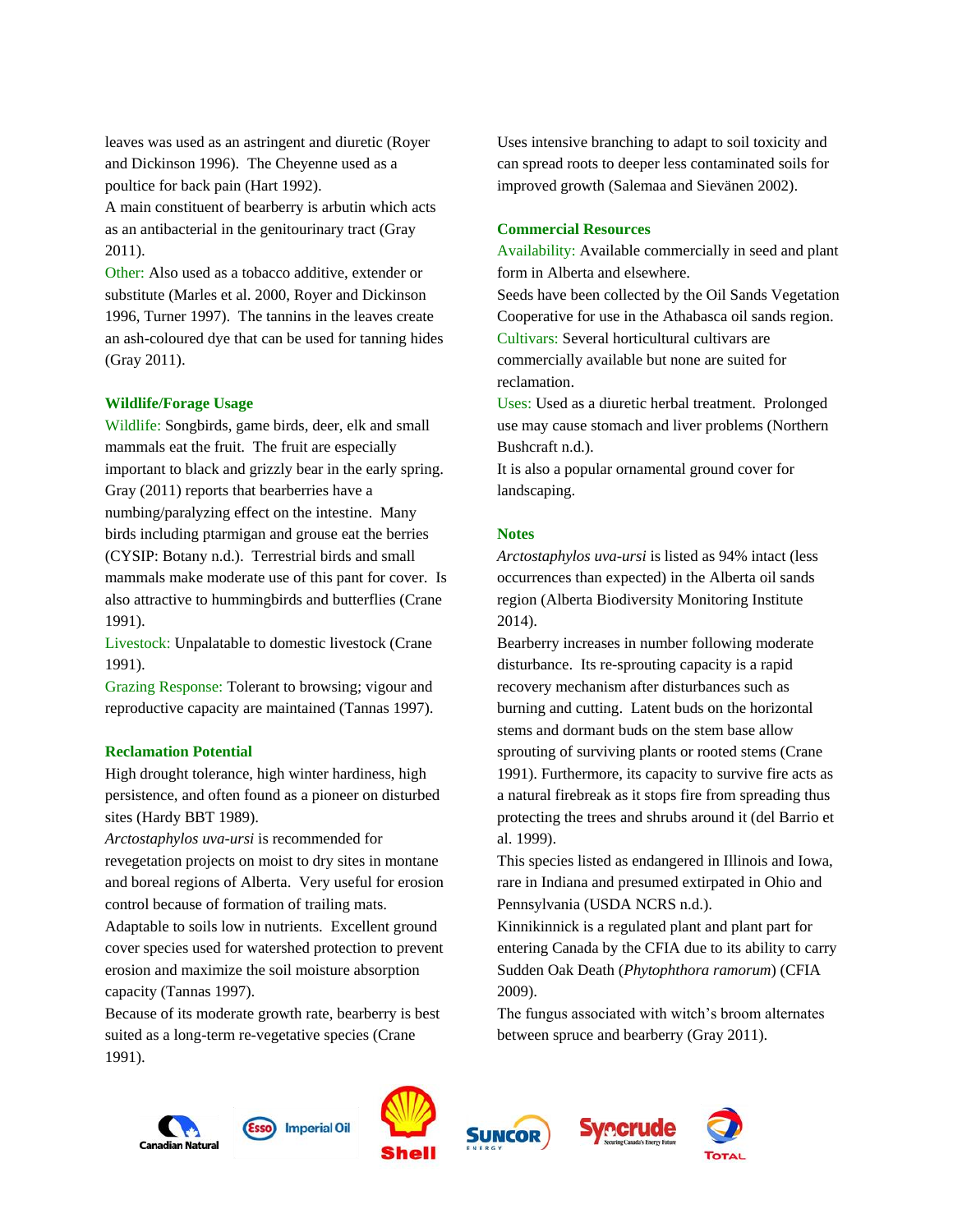leaves was used as an astringent and diuretic (Royer and Dickinson 1996). The Cheyenne used as a poultice for back pain (Hart 1992).

A main constituent of bearberry is arbutin which acts as an antibacterial in the genitourinary tract (Gray 2011).

Other: Also used as a tobacco additive, extender or substitute (Marles et al. 2000, Royer and Dickinson 1996, Turner 1997). The tannins in the leaves create an ash-coloured dye that can be used for tanning hides (Gray 2011).

# **Wildlife/Forage Usage**

Wildlife: Songbirds, game birds, deer, elk and small mammals eat the fruit. The fruit are especially important to black and grizzly bear in the early spring. Gray (2011) reports that bearberries have a numbing/paralyzing effect on the intestine. Many birds including ptarmigan and grouse eat the berries (CYSIP: Botany n.d.). Terrestrial birds and small mammals make moderate use of this pant for cover. Is also attractive to hummingbirds and butterflies (Crane 1991).

Livestock: Unpalatable to domestic livestock (Crane 1991).

Grazing Response: Tolerant to browsing; vigour and reproductive capacity are maintained (Tannas 1997).

## **Reclamation Potential**

High drought tolerance, high winter hardiness, high persistence, and often found as a pioneer on disturbed sites (Hardy BBT 1989).

*Arctostaphylos uva-ursi* is recommended for revegetation projects on moist to dry sites in montane and boreal regions of Alberta. Very useful for erosion control because of formation of trailing mats.

Adaptable to soils low in nutrients. Excellent ground cover species used for watershed protection to prevent erosion and maximize the soil moisture absorption capacity (Tannas 1997).

Because of its moderate growth rate, bearberry is best suited as a long-term re-vegetative species (Crane 1991).

Uses intensive branching to adapt to soil toxicity and can spread roots to deeper less contaminated soils for improved growth (Salemaa and Sievänen 2002).

# **Commercial Resources**

Availability: Available commercially in seed and plant form in Alberta and elsewhere.

Seeds have been collected by the Oil Sands Vegetation Cooperative for use in the Athabasca oil sands region. Cultivars: Several horticultural cultivars are commercially available but none are suited for reclamation.

Uses: Used as a diuretic herbal treatment. Prolonged use may cause stomach and liver problems (Northern Bushcraft n.d.).

It is also a popular ornamental ground cover for landscaping.

#### **Notes**

*Arctostaphylos uva-ursi* is listed as 94% intact (less occurrences than expected) in the Alberta oil sands region (Alberta Biodiversity Monitoring Institute 2014).

Bearberry increases in number following moderate disturbance. Its re-sprouting capacity is a rapid recovery mechanism after disturbances such as burning and cutting. Latent buds on the horizontal stems and dormant buds on the stem base allow sprouting of surviving plants or rooted stems (Crane 1991). Furthermore, its capacity to survive fire acts as a natural firebreak as it stops fire from spreading thus protecting the trees and shrubs around it (del Barrio et al. 1999).

This species listed as endangered in Illinois and Iowa, rare in Indiana and presumed extirpated in Ohio and Pennsylvania (USDA NCRS n.d.).

Kinnikinnick is a regulated plant and plant part for entering Canada by the CFIA due to its ability to carry Sudden Oak Death (*Phytophthora ramorum*) (CFIA 2009).

The fungus associated with witch's broom alternates between spruce and bearberry (Gray 2011).

**Syncrude** 









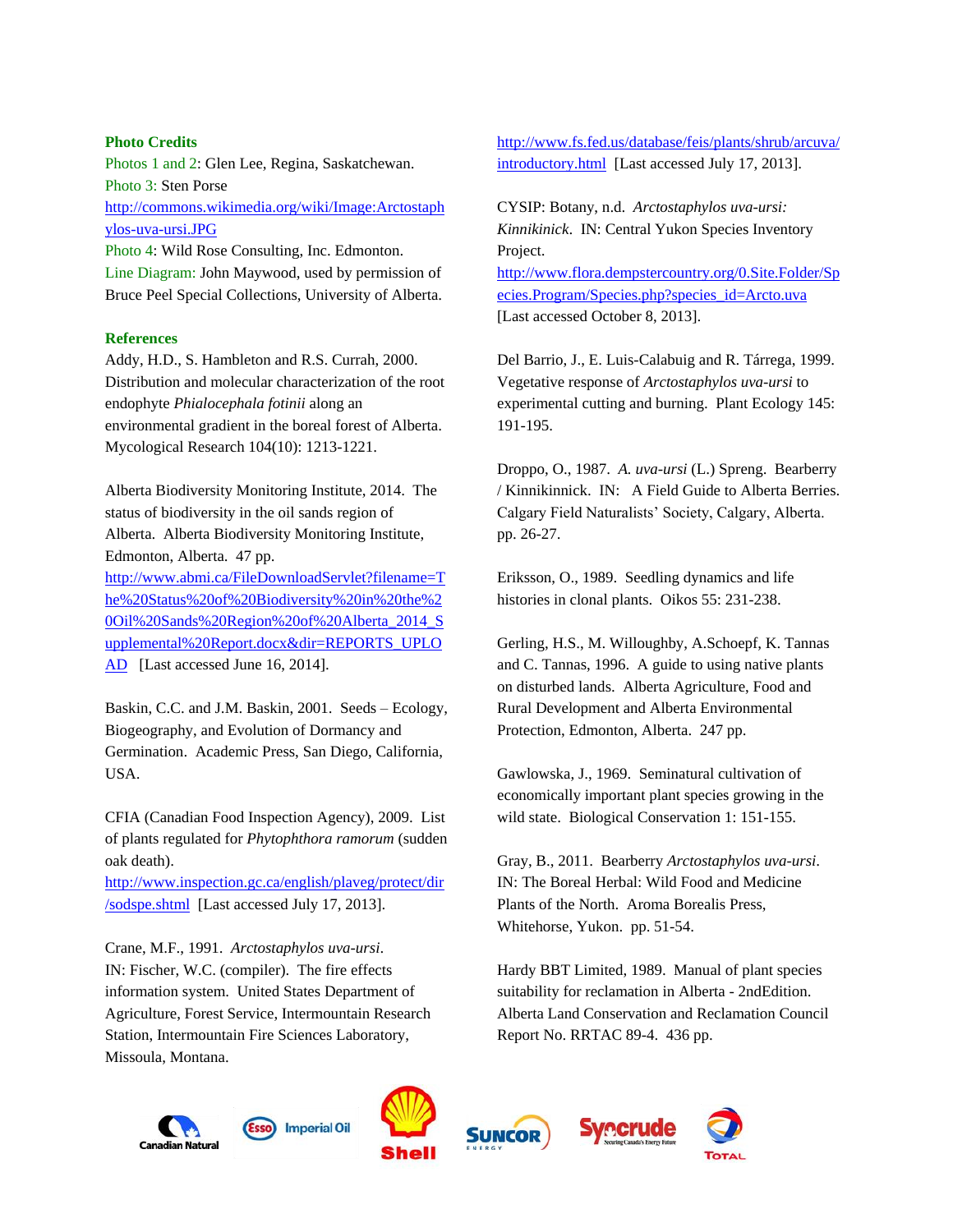# **Photo Credits**

Photos 1 and 2: Glen Lee, Regina, Saskatchewan. Photo 3: Sten Porse [http://commons.wikimedia.org/wiki/Image:Arctostaph](http://commons.wikimedia.org/wiki/Image:Arctostaphylos-uva-ursi.JPG) [ylos-uva-ursi.JPG](http://commons.wikimedia.org/wiki/Image:Arctostaphylos-uva-ursi.JPG)

Photo 4: Wild Rose Consulting, Inc. Edmonton. Line Diagram: John Maywood, used by permission of Bruce Peel Special Collections, University of Alberta.

#### **References**

Addy, H.D., S. Hambleton and R.S. Currah, 2000. Distribution and molecular characterization of the root endophyte *Phialocephala fotinii* along an environmental gradient in the boreal forest of Alberta. Mycological Research 104(10): 1213-1221.

Alberta Biodiversity Monitoring Institute, 2014. The status of biodiversity in the oil sands region of Alberta. Alberta Biodiversity Monitoring Institute, Edmonton, Alberta. 47 pp.

[http://www.abmi.ca/FileDownloadServlet?filename=T](http://www.abmi.ca/FileDownloadServlet?filename=The%20Status%20of%20Biodiversity%20in%20the%20Oil%20Sands%20Region%20of%20Alberta_2014_Supplemental%20Report.docx&dir=REPORTS_UPLOAD) [he%20Status%20of%20Biodiversity%20in%20the%2](http://www.abmi.ca/FileDownloadServlet?filename=The%20Status%20of%20Biodiversity%20in%20the%20Oil%20Sands%20Region%20of%20Alberta_2014_Supplemental%20Report.docx&dir=REPORTS_UPLOAD) [0Oil%20Sands%20Region%20of%20Alberta\\_2014\\_S](http://www.abmi.ca/FileDownloadServlet?filename=The%20Status%20of%20Biodiversity%20in%20the%20Oil%20Sands%20Region%20of%20Alberta_2014_Supplemental%20Report.docx&dir=REPORTS_UPLOAD) [upplemental%20Report.docx&dir=REPORTS\\_UPLO](http://www.abmi.ca/FileDownloadServlet?filename=The%20Status%20of%20Biodiversity%20in%20the%20Oil%20Sands%20Region%20of%20Alberta_2014_Supplemental%20Report.docx&dir=REPORTS_UPLOAD) [AD](http://www.abmi.ca/FileDownloadServlet?filename=The%20Status%20of%20Biodiversity%20in%20the%20Oil%20Sands%20Region%20of%20Alberta_2014_Supplemental%20Report.docx&dir=REPORTS_UPLOAD) [Last accessed June 16, 2014].

Baskin, C.C. and J.M. Baskin, 2001. Seeds – Ecology, Biogeography, and Evolution of Dormancy and Germination. Academic Press, San Diego, California, USA.

CFIA (Canadian Food Inspection Agency), 2009. List of plants regulated for *Phytophthora ramorum* (sudden oak death).

[http://www.inspection.gc.ca/english/plaveg/protect/dir](http://www.inspection.gc.ca/english/plaveg/protect/dir/sodspe.shtml) [/sodspe.shtml](http://www.inspection.gc.ca/english/plaveg/protect/dir/sodspe.shtml) [Last accessed July 17, 2013].

Crane, M.F., 1991. *Arctostaphylos uva-ursi*. IN: Fischer, W.C. (compiler). The fire effects information system. United States Department of Agriculture, Forest Service, Intermountain Research Station, Intermountain Fire Sciences Laboratory, Missoula, Montana.

[http://www.fs.fed.us/database/feis/plants/shrub/arcuva/](http://www.fs.fed.us/database/feis/plants/shrub/arcuva/introductory.html) [introductory.html](http://www.fs.fed.us/database/feis/plants/shrub/arcuva/introductory.html) [Last accessed July 17, 2013].

CYSIP: Botany, n.d. *Arctostaphylos uva-ursi: Kinnikinick*. IN: Central Yukon Species Inventory Project. [http://www.flora.dempstercountry.org/0.Site.Folder/Sp](http://www.flora.dempstercountry.org/0.Site.Folder/Species.Program/Species.php?species_id=Arcto.uva) [ecies.Program/Species.php?species\\_id=Arcto.uva](http://www.flora.dempstercountry.org/0.Site.Folder/Species.Program/Species.php?species_id=Arcto.uva)  [Last accessed October 8, 2013].

Del Barrio, J., E. Luis-Calabuig and R. Tárrega, 1999. Vegetative response of *Arctostaphylos uva-ursi* to experimental cutting and burning. Plant Ecology 145: 191-195.

Droppo, O., 1987. *A. uva-ursi* (L.) Spreng. Bearberry / Kinnikinnick. IN: A Field Guide to Alberta Berries. Calgary Field Naturalists' Society, Calgary, Alberta. pp. 26-27.

Eriksson, O., 1989. Seedling dynamics and life histories in clonal plants. Oikos 55: 231-238.

Gerling, H.S., M. Willoughby, A.Schoepf, K. Tannas and C. Tannas, 1996. A guide to using native plants on disturbed lands. Alberta Agriculture, Food and Rural Development and Alberta Environmental Protection, Edmonton, Alberta. 247 pp.

Gawlowska, J., 1969. Seminatural cultivation of economically important plant species growing in the wild state. Biological Conservation 1: 151-155.

Gray, B., 2011. Bearberry *Arctostaphylos uva-ursi*. IN: The Boreal Herbal: Wild Food and Medicine Plants of the North. Aroma Borealis Press, Whitehorse, Yukon. pp. 51-54.

Hardy BBT Limited, 1989. Manual of plant species suitability for reclamation in Alberta - 2ndEdition. Alberta Land Conservation and Reclamation Council Report No. RRTAC 89-4. 436 pp.

**Svecrude** 









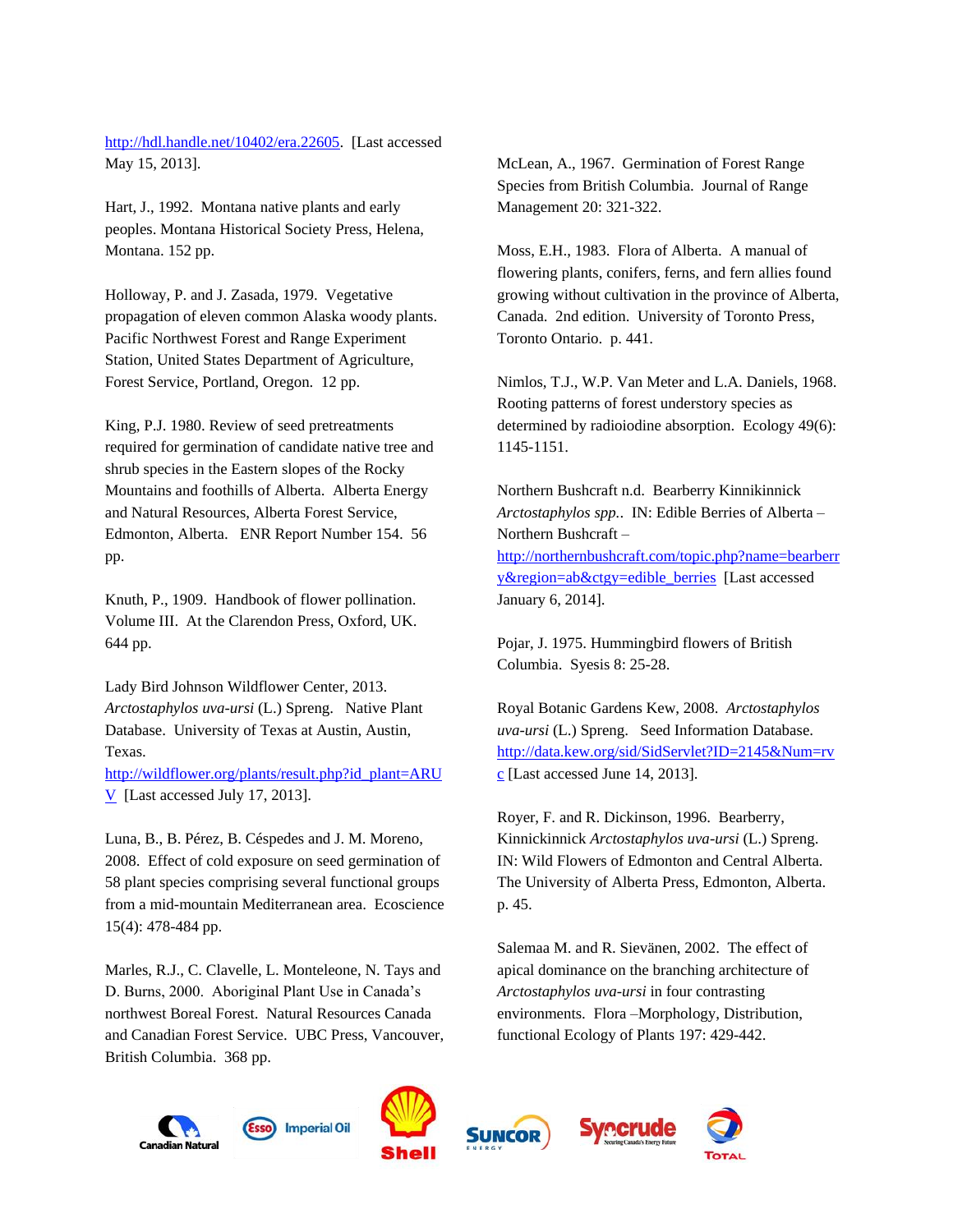[http://hdl.handle.net/10402/era.22605.](http://hdl.handle.net/10402/era.22605) [Last accessed May 15, 2013].

Hart, J., 1992. Montana native plants and early peoples. Montana Historical Society Press, Helena, Montana. 152 pp.

Holloway, P. and J. Zasada, 1979. Vegetative propagation of eleven common Alaska woody plants. Pacific Northwest Forest and Range Experiment Station, United States Department of Agriculture, Forest Service, Portland, Oregon. 12 pp.

King, P.J. 1980. Review of seed pretreatments required for germination of candidate native tree and shrub species in the Eastern slopes of the Rocky Mountains and foothills of Alberta. Alberta Energy and Natural Resources, Alberta Forest Service, Edmonton, Alberta. ENR Report Number 154. 56 pp.

Knuth, P., 1909. Handbook of flower pollination. Volume III. At the Clarendon Press, Oxford, UK. 644 pp.

Lady Bird Johnson Wildflower Center, 2013. *Arctostaphylos uva-ursi* (L.) Spreng. Native Plant Database. University of Texas at Austin, Austin, Texas.

[http://wildflower.org/plants/result.php?id\\_plant=ARU](http://wildflower.org/plants/result.php?id_plant=ARUV) [V](http://wildflower.org/plants/result.php?id_plant=ARUV) [Last accessed July 17, 2013].

Luna, B., B. Pérez, B. Céspedes and J. M. Moreno, 2008. Effect of cold exposure on seed germination of 58 plant species comprising several functional groups from a mid-mountain Mediterranean area. Ecoscience 15(4): 478-484 pp.

Marles, R.J., C. Clavelle, L. Monteleone, N. Tays and D. Burns, 2000. Aboriginal Plant Use in Canada's northwest Boreal Forest. Natural Resources Canada and Canadian Forest Service. UBC Press, Vancouver, British Columbia. 368 pp.

McLean, A., 1967. Germination of Forest Range Species from British Columbia. Journal of Range Management 20: 321-322.

Moss, E.H., 1983. Flora of Alberta. A manual of flowering plants, conifers, ferns, and fern allies found growing without cultivation in the province of Alberta, Canada. 2nd edition. University of Toronto Press, Toronto Ontario. p. 441.

Nimlos, T.J., W.P. Van Meter and L.A. Daniels, 1968. Rooting patterns of forest understory species as determined by radioiodine absorption. Ecology 49(6): 1145-1151.

Northern Bushcraft n.d. Bearberry Kinnikinnick *Arctostaphylos spp.*. IN: Edible Berries of Alberta – Northern Bushcraft – [http://northernbushcraft.com/topic.php?name=bearberr](http://northernbushcraft.com/topic.php?name=bearberry®ion=ab&ctgy=edible_berries) [y&region=ab&ctgy=edible\\_berries](http://northernbushcraft.com/topic.php?name=bearberry®ion=ab&ctgy=edible_berries) [Last accessed January 6, 2014].

Pojar, J. 1975. Hummingbird flowers of British Columbia. Syesis 8: 25-28.

Royal Botanic Gardens Kew, 2008. *Arctostaphylos uva-ursi* (L.) Spreng. Seed Information Database. [http://data.kew.org/sid/SidServlet?ID=2145&Num=rv](http://data.kew.org/sid/SidServlet?ID=2145&Num=rvc) [c](http://data.kew.org/sid/SidServlet?ID=2145&Num=rvc) [Last accessed June 14, 2013].

Royer, F. and R. Dickinson, 1996. Bearberry, Kinnickinnick *Arctostaphylos uva-ursi* (L.) Spreng. IN: Wild Flowers of Edmonton and Central Alberta. The University of Alberta Press, Edmonton, Alberta. p. 45.

Salemaa M. and R. Sievänen, 2002. The effect of apical dominance on the branching architecture of *Arctostaphylos uva-ursi* in four contrasting environments. Flora –Morphology, Distribution, functional Ecology of Plants 197: 429-442.